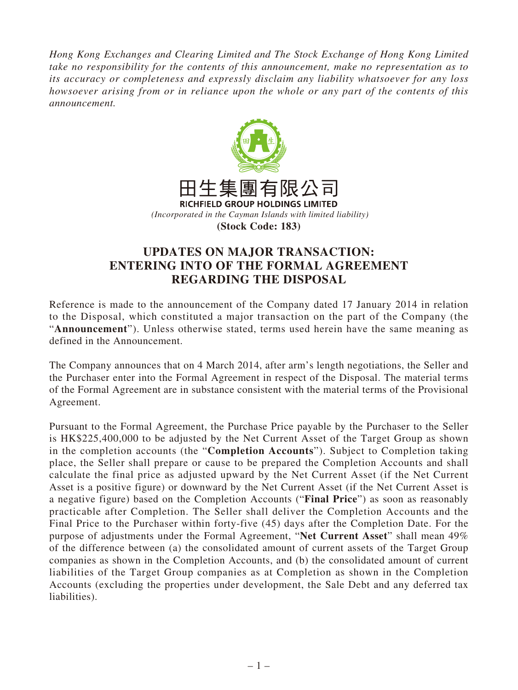*Hong Kong Exchanges and Clearing Limited and The Stock Exchange of Hong Kong Limited take no responsibility for the contents of this announcement, make no representation as to its accuracy or completeness and expressly disclaim any liability whatsoever for any loss howsoever arising from or in reliance upon the whole or any part of the contents of this announcement.*



## **UPDATES ON MAJOR TRANSACTION: ENTERING INTO OF THE FORMAL AGREEMENT REGARDING THE DISPOSAL**

Reference is made to the announcement of the Company dated 17 January 2014 in relation to the Disposal, which constituted a major transaction on the part of the Company (the "**Announcement**"). Unless otherwise stated, terms used herein have the same meaning as defined in the Announcement.

The Company announces that on 4 March 2014, after arm's length negotiations, the Seller and the Purchaser enter into the Formal Agreement in respect of the Disposal. The material terms of the Formal Agreement are in substance consistent with the material terms of the Provisional Agreement.

Pursuant to the Formal Agreement, the Purchase Price payable by the Purchaser to the Seller is HK\$225,400,000 to be adjusted by the Net Current Asset of the Target Group as shown in the completion accounts (the "**Completion Accounts**"). Subject to Completion taking place, the Seller shall prepare or cause to be prepared the Completion Accounts and shall calculate the final price as adjusted upward by the Net Current Asset (if the Net Current Asset is a positive figure) or downward by the Net Current Asset (if the Net Current Asset is a negative figure) based on the Completion Accounts ("**Final Price**") as soon as reasonably practicable after Completion. The Seller shall deliver the Completion Accounts and the Final Price to the Purchaser within forty-five (45) days after the Completion Date. For the purpose of adjustments under the Formal Agreement, "**Net Current Asset**" shall mean 49% of the difference between (a) the consolidated amount of current assets of the Target Group companies as shown in the Completion Accounts, and (b) the consolidated amount of current liabilities of the Target Group companies as at Completion as shown in the Completion Accounts (excluding the properties under development, the Sale Debt and any deferred tax liabilities).